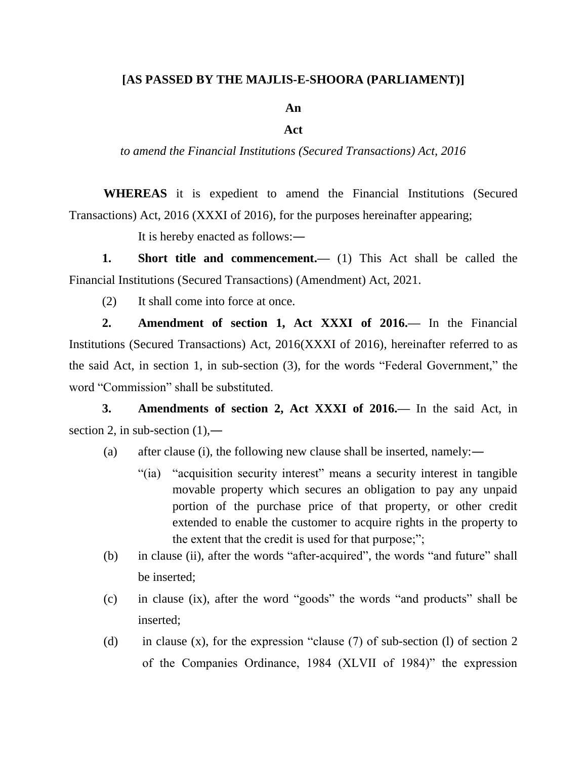## **[AS PASSED BY THE MAJLIS-E-SHOORA (PARLIAMENT)]**

**An**

## **Act**

*to amend the Financial Institutions (Secured Transactions) Act, 2016*

**WHEREAS** it is expedient to amend the Financial Institutions (Secured Transactions) Act, 2016 (XXXI of 2016), for the purposes hereinafter appearing;

It is hereby enacted as follows:―

**1. Short title and commencement.—** (1) This Act shall be called the Financial Institutions (Secured Transactions) (Amendment) Act, 2021.

(2) It shall come into force at once.

**2. Amendment of section 1, Act XXXI of 2016.—** In the Financial Institutions (Secured Transactions) Act, 2016(XXXI of 2016), hereinafter referred to as the said Act, in section 1, in sub-section (3), for the words "Federal Government," the word "Commission" shall be substituted.

**3. Amendments of section 2, Act XXXI of 2016.—** In the said Act, in section 2, in sub-section  $(1)$ ,—

- (a) after clause (i), the following new clause shall be inserted, namely:―
	- "(ia) "acquisition security interest" means a security interest in tangible movable property which secures an obligation to pay any unpaid portion of the purchase price of that property, or other credit extended to enable the customer to acquire rights in the property to the extent that the credit is used for that purpose;";
- (b) in clause (ii), after the words "after-acquired", the words "and future" shall be inserted;
- (c) in clause (ix), after the word "goods" the words "and products" shall be inserted;
- (d) in clause (x), for the expression "clause (7) of sub-section (l) of section 2 of the Companies Ordinance, 1984 (XLVII of 1984)" the expression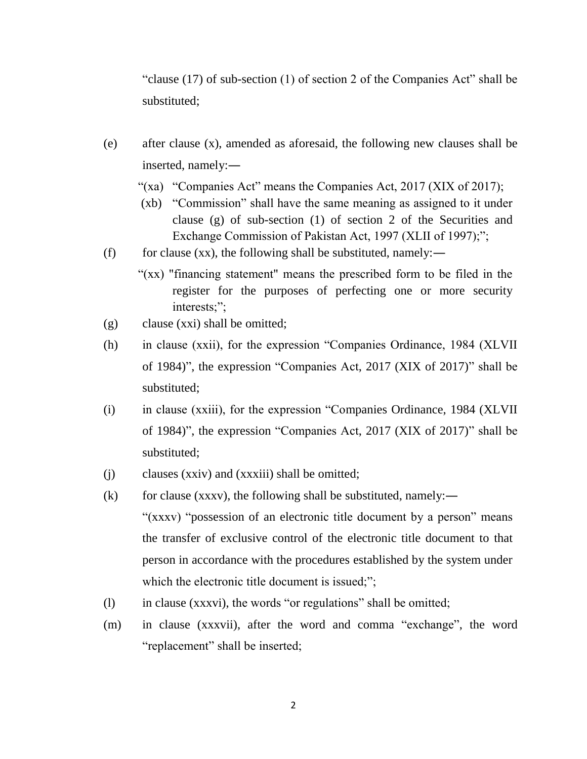"clause (17) of sub-section (1) of section 2 of the Companies Act" shall be substituted;

- (e) after clause (x), amended as aforesaid, the following new clauses shall be inserted, namely:―
	- "(xa) "Companies Act" means the Companies Act, 2017 (XIX of 2017);
	- (xb) "Commission" shall have the same meaning as assigned to it under clause (g) of sub-section (1) of section 2 of the Securities and Exchange Commission of Pakistan Act, 1997 (XLII of 1997);";
- (f) for clause (xx), the following shall be substituted, namely:—
	- "(xx) "financing statement" means the prescribed form to be filed in the register for the purposes of perfecting one or more security interests;";
- (g) clause (xxi) shall be omitted;
- (h) in clause (xxii), for the expression "Companies Ordinance, 1984 (XLVII of 1984)", the expression "Companies Act, 2017 (XIX of 2017)" shall be substituted;
- (i) in clause (xxiii), for the expression "Companies Ordinance, 1984 (XLVII of 1984)", the expression "Companies Act, 2017 (XIX of 2017)" shall be substituted;
- (j) clauses (xxiv) and (xxxiii) shall be omitted;
- (k) for clause (xxxv), the following shall be substituted, namely:— "(xxxv) "possession of an electronic title document by a person" means the transfer of exclusive control of the electronic title document to that person in accordance with the procedures established by the system under which the electronic title document is issued;";
- (l) in clause (xxxvi), the words "or regulations" shall be omitted;
- (m) in clause (xxxvii), after the word and comma "exchange", the word "replacement" shall be inserted;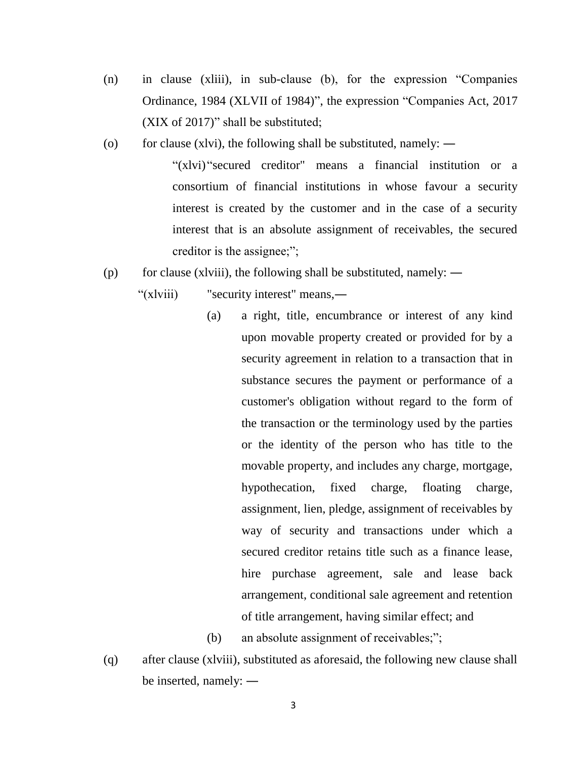- (n) in clause (xliii), in sub-clause (b), for the expression "Companies Ordinance, 1984 (XLVII of 1984)", the expression "Companies Act, 2017 (XIX of 2017)" shall be substituted;
- (o) for clause (xlvi), the following shall be substituted, namely:  $\rightarrow$

"(xlvi) "secured creditor" means a financial institution or a consortium of financial institutions in whose favour a security interest is created by the customer and in the case of a security interest that is an absolute assignment of receivables, the secured creditor is the assignee;";

- (p) for clause (xlviii), the following shall be substituted, namely:  $\rightarrow$ 
	- "(xlviii) "security interest" means,—
		- (a) a right, title, encumbrance or interest of any kind upon movable property created or provided for by a security agreement in relation to a transaction that in substance secures the payment or performance of a customer's obligation without regard to the form of the transaction or the terminology used by the parties or the identity of the person who has title to the movable property, and includes any charge, mortgage, hypothecation, fixed charge, floating charge, assignment, lien, pledge, assignment of receivables by way of security and transactions under which a secured creditor retains title such as a finance lease, hire purchase agreement, sale and lease back arrangement, conditional sale agreement and retention of title arrangement, having similar effect; and
		- (b) an absolute assignment of receivables;";
- (q) after clause (xlviii), substituted as aforesaid, the following new clause shall be inserted, namely: ―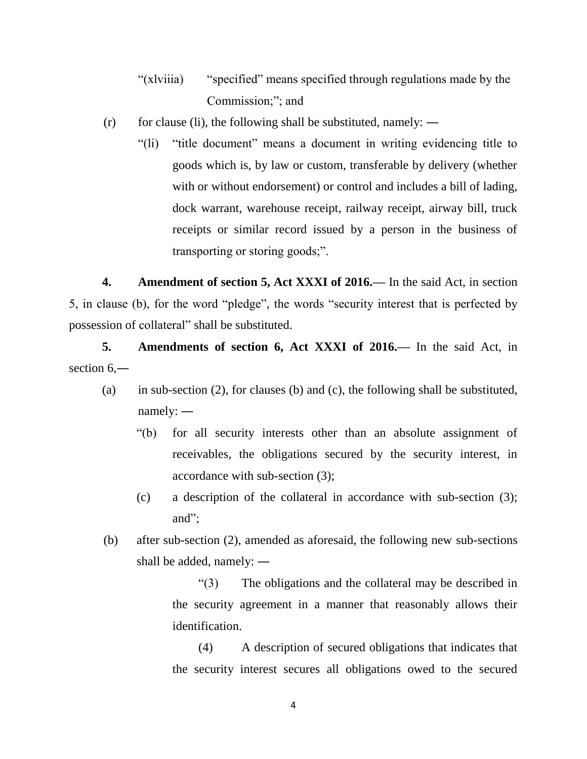- "(xlviiia) "specified" means specified through regulations made by the Commission;"; and
- $(r)$  for clause (li), the following shall be substituted, namely:
	- "(li) "title document" means a document in writing evidencing title to goods which is, by law or custom, transferable by delivery (whether with or without endorsement) or control and includes a bill of lading, dock warrant, warehouse receipt, railway receipt, airway bill, truck receipts or similar record issued by a person in the business of transporting or storing goods;".

**4. Amendment of section 5, Act XXXI of 2016.—** In the said Act, in section 5, in clause (b), for the word "pledge", the words "security interest that is perfected by possession of collateral" shall be substituted.

**5. Amendments of section 6, Act XXXI of 2016.—** In the said Act, in section  $6$ —

- (a) in sub-section (2), for clauses (b) and (c), the following shall be substituted, namely: ―
	- "(b) for all security interests other than an absolute assignment of receivables, the obligations secured by the security interest, in accordance with sub-section (3);
	- (c) a description of the collateral in accordance with sub-section (3); and";
- (b) after sub-section (2), amended as aforesaid, the following new sub-sections shall be added, namely: ―

"(3) The obligations and the collateral may be described in the security agreement in a manner that reasonably allows their identification.

(4) A description of secured obligations that indicates that the security interest secures all obligations owed to the secured

4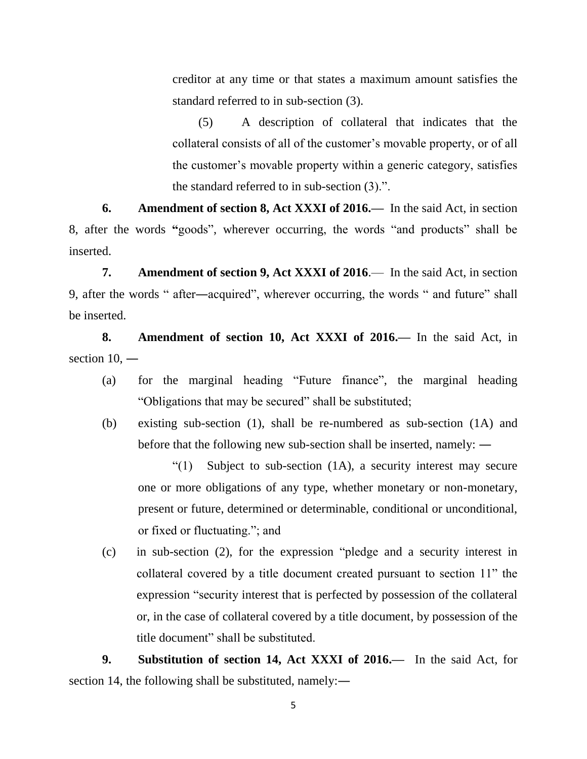creditor at any time or that states a maximum amount satisfies the standard referred to in sub-section (3).

(5) A description of collateral that indicates that the collateral consists of all of the customer's movable property, or of all the customer's movable property within a generic category, satisfies the standard referred to in sub-section (3).".

**6. Amendment of section 8, Act XXXI of 2016.—** In the said Act, in section 8, after the words **"**goods", wherever occurring, the words "and products" shall be inserted.

**7. Amendment of section 9, Act XXXI of 2016**.— In the said Act, in section 9, after the words " after―acquired", wherever occurring, the words " and future" shall be inserted.

**8. Amendment of section 10, Act XXXI of 2016.—** In the said Act, in section 10, —

- (a) for the marginal heading "Future finance", the marginal heading "Obligations that may be secured" shall be substituted;
- (b) existing sub-section (1), shall be re-numbered as sub-section (1A) and before that the following new sub-section shall be inserted, namely: ―

"(1) Subject to sub-section (1A), a security interest may secure one or more obligations of any type, whether monetary or non-monetary, present or future, determined or determinable, conditional or unconditional, or fixed or fluctuating."; and

(c) in sub-section (2), for the expression "pledge and a security interest in collateral covered by a title document created pursuant to section 11" the expression "security interest that is perfected by possession of the collateral or, in the case of collateral covered by a title document, by possession of the title document" shall be substituted.

**9. Substitution of section 14, Act XXXI of 2016.—** In the said Act, for section 14, the following shall be substituted, namely:—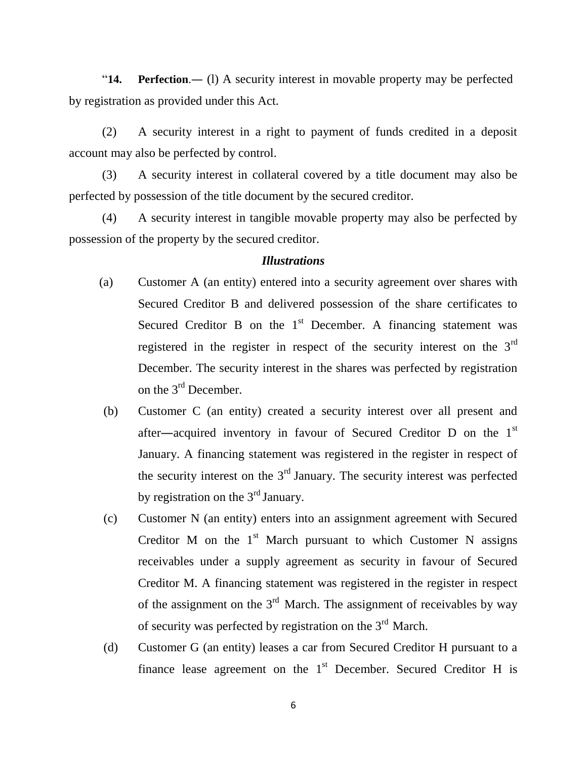"**14. Perfection**.― (l) A security interest in movable property may be perfected by registration as provided under this Act.

(2) A security interest in a right to payment of funds credited in a deposit account may also be perfected by control.

(3) A security interest in collateral covered by a title document may also be perfected by possession of the title document by the secured creditor.

(4) A security interest in tangible movable property may also be perfected by possession of the property by the secured creditor.

## *Illustrations*

- (a) Customer A (an entity) entered into a security agreement over shares with Secured Creditor B and delivered possession of the share certificates to Secured Creditor B on the  $1<sup>st</sup>$  December. A financing statement was registered in the register in respect of the security interest on the 3rd December. The security interest in the shares was perfected by registration on the 3<sup>rd</sup> December.
- (b) Customer C (an entity) created a security interest over all present and after―acquired inventory in favour of Secured Creditor D on the 1st January. A financing statement was registered in the register in respect of the security interest on the  $3<sup>rd</sup>$  January. The security interest was perfected by registration on the  $3<sup>rd</sup>$  January.
- (c) Customer N (an entity) enters into an assignment agreement with Secured Creditor M on the  $1<sup>st</sup>$  March pursuant to which Customer N assigns receivables under a supply agreement as security in favour of Secured Creditor M. A financing statement was registered in the register in respect of the assignment on the  $3<sup>rd</sup>$  March. The assignment of receivables by way of security was perfected by registration on the 3<sup>rd</sup> March.
- (d) Customer G (an entity) leases a car from Secured Creditor H pursuant to a finance lease agreement on the  $1<sup>st</sup>$  December. Secured Creditor H is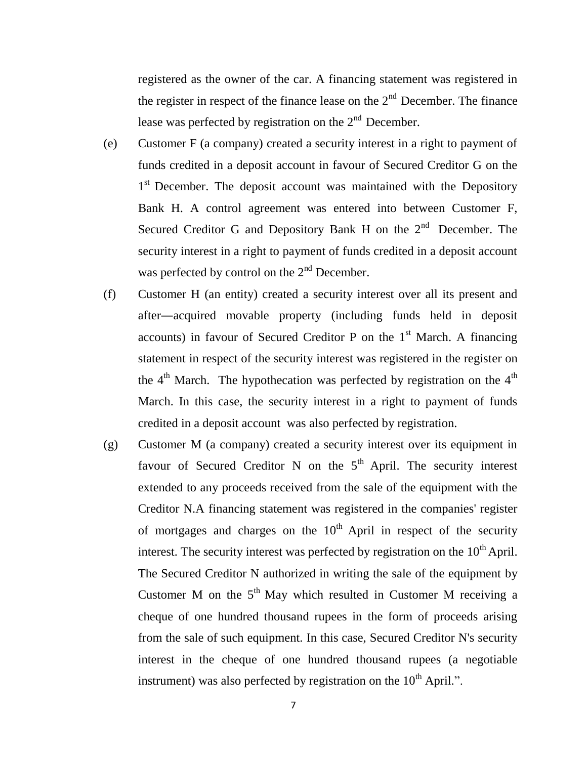registered as the owner of the car. A financing statement was registered in the register in respect of the finance lease on the  $2<sup>nd</sup>$  December. The finance lease was perfected by registration on the  $2<sup>nd</sup>$  December.

- (e) Customer F (a company) created a security interest in a right to payment of funds credited in a deposit account in favour of Secured Creditor G on the 1<sup>st</sup> December. The deposit account was maintained with the Depository Bank H. A control agreement was entered into between Customer F, Secured Creditor G and Depository Bank H on the  $2<sup>nd</sup>$  December. The security interest in a right to payment of funds credited in a deposit account was perfected by control on the  $2<sup>nd</sup>$  December.
- (f) Customer H (an entity) created a security interest over all its present and after―acquired movable property (including funds held in deposit accounts) in favour of Secured Creditor P on the  $1<sup>st</sup>$  March. A financing statement in respect of the security interest was registered in the register on the  $4<sup>th</sup>$  March. The hypothecation was perfected by registration on the  $4<sup>th</sup>$ March. In this case, the security interest in a right to payment of funds credited in a deposit account was also perfected by registration.
- (g) Customer M (a company) created a security interest over its equipment in favour of Secured Creditor N on the  $5<sup>th</sup>$  April. The security interest extended to any proceeds received from the sale of the equipment with the Creditor N.A financing statement was registered in the companies' register of mortgages and charges on the  $10<sup>th</sup>$  April in respect of the security interest. The security interest was perfected by registration on the  $10<sup>th</sup>$  April. The Secured Creditor N authorized in writing the sale of the equipment by Customer M on the  $5<sup>th</sup>$  May which resulted in Customer M receiving a cheque of one hundred thousand rupees in the form of proceeds arising from the sale of such equipment. In this case, Secured Creditor N's security interest in the cheque of one hundred thousand rupees (a negotiable instrument) was also perfected by registration on the  $10<sup>th</sup>$  April.".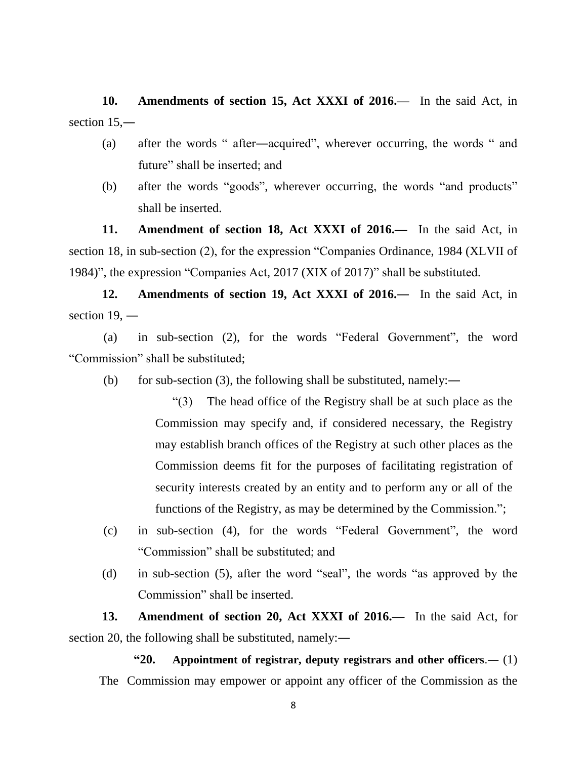**10. Amendments of section 15, Act XXXI of 2016.—** In the said Act, in section 15,—

- (a) after the words " after―acquired", wherever occurring, the words " and future" shall be inserted; and
- (b) after the words "goods", wherever occurring, the words "and products" shall be inserted.

**11. Amendment of section 18, Act XXXI of 2016.—** In the said Act, in section 18, in sub-section (2), for the expression "Companies Ordinance, 1984 (XLVII of 1984)", the expression "Companies Act, 2017 (XIX of 2017)" shall be substituted.

**12. Amendments of section 19, Act XXXI of 2016.―** In the said Act, in section 19, —

(a) in sub-section (2), for the words "Federal Government", the word "Commission" shall be substituted;

(b) for sub-section (3), the following shall be substituted, namely:―

"(3) The head office of the Registry shall be at such place as the Commission may specify and, if considered necessary, the Registry may establish branch offices of the Registry at such other places as the Commission deems fit for the purposes of facilitating registration of security interests created by an entity and to perform any or all of the functions of the Registry, as may be determined by the Commission.";

- (c) in sub-section (4), for the words "Federal Government", the word "Commission" shall be substituted; and
- (d) in sub-section (5), after the word "seal", the words "as approved by the Commission" shall be inserted.

**13. Amendment of section 20, Act XXXI of 2016.—** In the said Act, for section 20, the following shall be substituted, namely:―

**"20. Appointment of registrar, deputy registrars and other officers**.― (1) The Commission may empower or appoint any officer of the Commission as the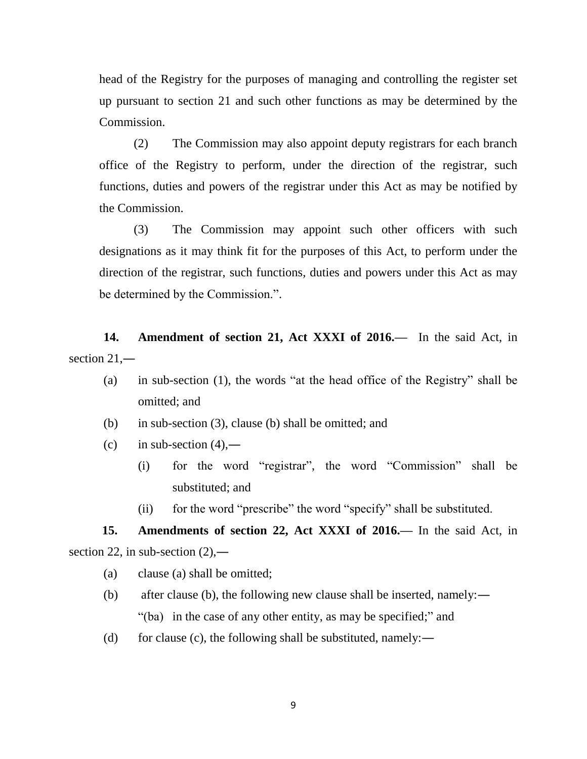head of the Registry for the purposes of managing and controlling the register set up pursuant to section 21 and such other functions as may be determined by the Commission.

(2) The Commission may also appoint deputy registrars for each branch office of the Registry to perform, under the direction of the registrar, such functions, duties and powers of the registrar under this Act as may be notified by the Commission.

(3) The Commission may appoint such other officers with such designations as it may think fit for the purposes of this Act, to perform under the direction of the registrar, such functions, duties and powers under this Act as may be determined by the Commission.".

**14. Amendment of section 21, Act XXXI of 2016.—** In the said Act, in section 21,—

- (a) in sub-section (1), the words "at the head office of the Registry" shall be omitted; and
- (b) in sub-section (3), clause (b) shall be omitted; and
- $(c)$  in sub-section  $(4)$ ,—
	- (i) for the word "registrar", the word "Commission" shall be substituted; and
	- (ii) for the word "prescribe" the word "specify" shall be substituted.

**15. Amendments of section 22, Act XXXI of 2016.—** In the said Act, in section 22, in sub-section  $(2)$ ,—

- (a) clause (a) shall be omitted;
- (b) after clause (b), the following new clause shall be inserted, namely:― "(ba) in the case of any other entity, as may be specified;" and
- (d) for clause (c), the following shall be substituted, namely:—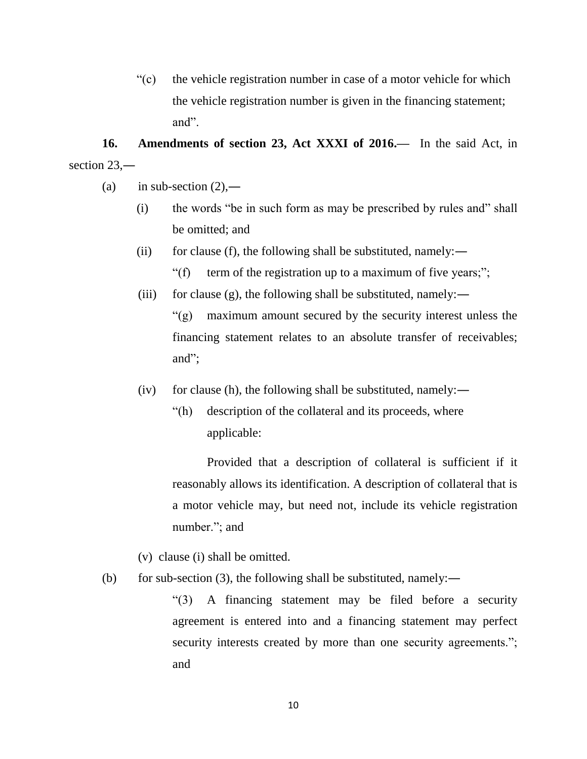"(c) the vehicle registration number in case of a motor vehicle for which the vehicle registration number is given in the financing statement; and".

**16. Amendments of section 23, Act XXXI of 2016.—** In the said Act, in section 23,—

- (a) in sub-section  $(2)$ ,—
	- (i) the words "be in such form as may be prescribed by rules and" shall be omitted; and
	- (ii) for clause (f), the following shall be substituted, namely:—
		- "(f) term of the registration up to a maximum of five years;";
	- (iii) for clause (g), the following shall be substituted, namely:—

"(g) maximum amount secured by the security interest unless the financing statement relates to an absolute transfer of receivables; and";

- $(iv)$  for clause (h), the following shall be substituted, namely:—
	- "(h) description of the collateral and its proceeds, where applicable:

Provided that a description of collateral is sufficient if it reasonably allows its identification. A description of collateral that is a motor vehicle may, but need not, include its vehicle registration number."; and

- (v) clause (i) shall be omitted.
- (b) for sub-section (3), the following shall be substituted, namely:―

"(3) A financing statement may be filed before a security agreement is entered into and a financing statement may perfect security interests created by more than one security agreements."; and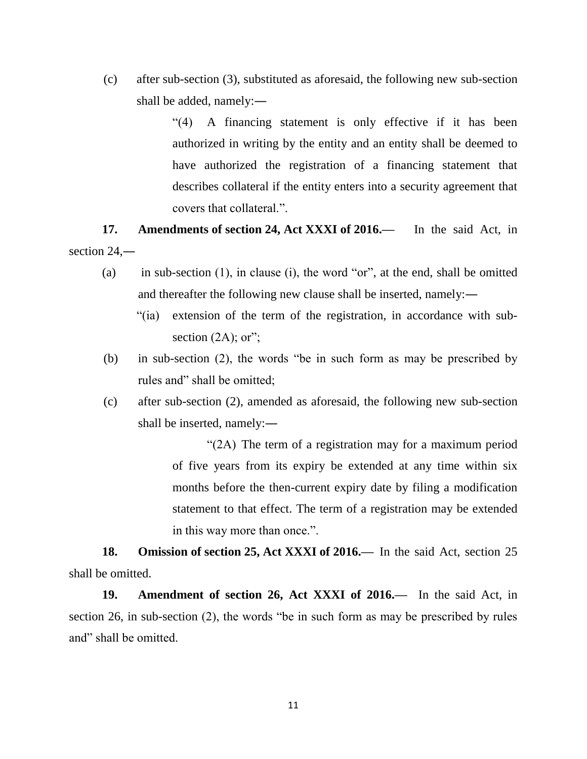(c) after sub-section (3), substituted as aforesaid, the following new sub-section shall be added, namely:―

> "(4) A financing statement is only effective if it has been authorized in writing by the entity and an entity shall be deemed to have authorized the registration of a financing statement that describes collateral if the entity enters into a security agreement that covers that collateral.".

**17. Amendments of section 24, Act XXXI of 2016.—** In the said Act, in section 24,—

- (a) in sub-section  $(1)$ , in clause  $(i)$ , the word "or", at the end, shall be omitted and thereafter the following new clause shall be inserted, namely:―
	- "(ia) extension of the term of the registration, in accordance with subsection  $(2A)$ ; or";
- (b) in sub-section (2), the words "be in such form as may be prescribed by rules and" shall be omitted;
- (c) after sub-section (2), amended as aforesaid, the following new sub-section shall be inserted, namely:―

"(2A) The term of a registration may for a maximum period of five years from its expiry be extended at any time within six months before the then-current expiry date by filing a modification statement to that effect. The term of a registration may be extended in this way more than once.".

**18. Omission of section 25, Act XXXI of 2016.—** In the said Act, section 25 shall be omitted.

**19. Amendment of section 26, Act XXXI of 2016.—** In the said Act, in section 26, in sub-section (2), the words "be in such form as may be prescribed by rules and" shall be omitted.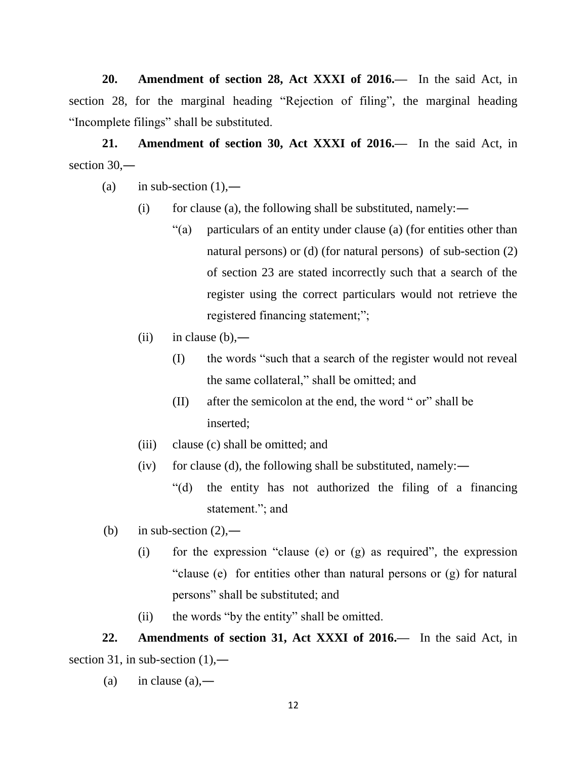**20. Amendment of section 28, Act XXXI of 2016.—** In the said Act, in section 28, for the marginal heading "Rejection of filing", the marginal heading "Incomplete filings" shall be substituted.

**21. Amendment of section 30, Act XXXI of 2016.—** In the said Act, in section 30,—

- (a) in sub-section  $(1)$ ,—
	- (i) for clause (a), the following shall be substituted, namely:—
		- "(a) particulars of an entity under clause (a) (for entities other than natural persons) or (d) (for natural persons) of sub-section (2) of section 23 are stated incorrectly such that a search of the register using the correct particulars would not retrieve the registered financing statement;";
	- $(ii)$  in clause  $(b)$ ,—
		- (I) the words "such that a search of the register would not reveal the same collateral," shall be omitted; and
		- (II) after the semicolon at the end, the word " or" shall be inserted;
	- (iii) clause (c) shall be omitted; and
	- $(iv)$  for clause (d), the following shall be substituted, namely:—
		- "(d) the entity has not authorized the filing of a financing statement."; and
- (b) in sub-section  $(2)$ ,—
	- (i) for the expression "clause (e) or (g) as required", the expression "clause (e) for entities other than natural persons or (g) for natural persons" shall be substituted; and
	- (ii) the words "by the entity" shall be omitted.

**22. Amendments of section 31, Act XXXI of 2016.—** In the said Act, in section 31, in sub-section  $(1)$ ,—

(a) in clause  $(a)$ ,—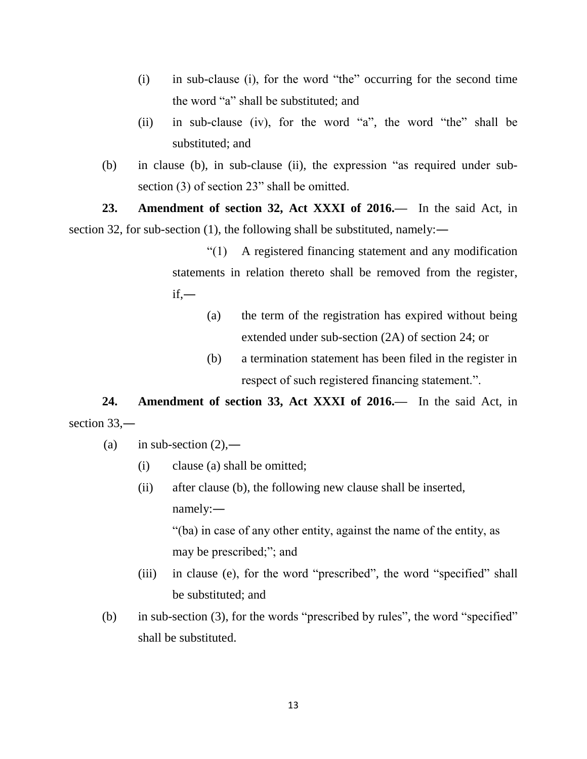- (i) in sub-clause (i), for the word "the" occurring for the second time the word "a" shall be substituted; and
- (ii) in sub-clause (iv), for the word "a", the word "the" shall be substituted; and
- (b) in clause (b), in sub-clause (ii), the expression "as required under subsection (3) of section 23" shall be omitted.

**23. Amendment of section 32, Act XXXI of 2016.—** In the said Act, in section 32, for sub-section (1), the following shall be substituted, namely:—

> "(1) A registered financing statement and any modification statements in relation thereto shall be removed from the register,  $if,$ —

- (a) the term of the registration has expired without being extended under sub-section (2A) of section 24; or
- (b) a termination statement has been filed in the register in respect of such registered financing statement.".

**24. Amendment of section 33, Act XXXI of 2016.—** In the said Act, in section 33,—

- (a) in sub-section  $(2)$ ,—
	- (i) clause (a) shall be omitted;
	- (ii) after clause (b), the following new clause shall be inserted, namely:―

"(ba) in case of any other entity, against the name of the entity, as may be prescribed;"; and

- (iii) in clause (e), for the word "prescribed", the word "specified" shall be substituted; and
- (b) in sub-section (3), for the words "prescribed by rules", the word "specified" shall be substituted.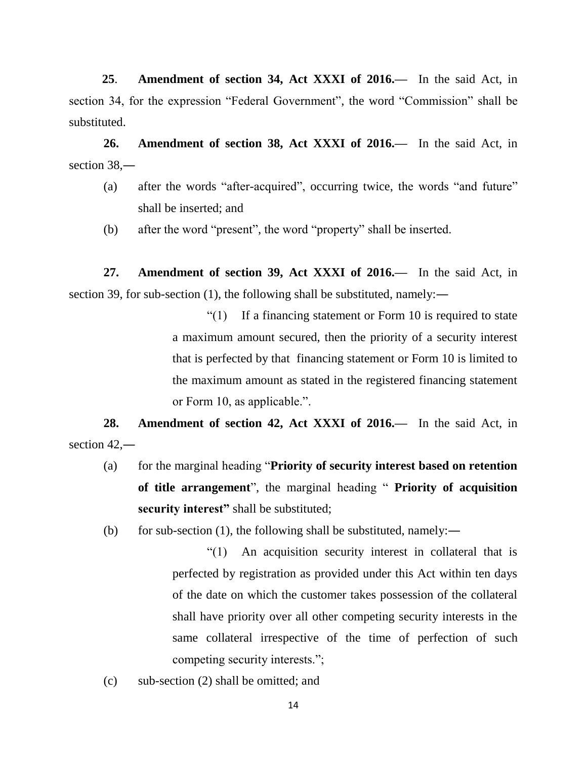**25**. **Amendment of section 34, Act XXXI of 2016.—** In the said Act, in section 34, for the expression "Federal Government", the word "Commission" shall be substituted.

**26. Amendment of section 38, Act XXXI of 2016.—** In the said Act, in section 38,―

- (a) after the words "after-acquired", occurring twice, the words "and future" shall be inserted; and
- (b) after the word "present", the word "property" shall be inserted.

**27. Amendment of section 39, Act XXXI of 2016.—** In the said Act, in section 39, for sub-section (1), the following shall be substituted, namely:—

> "(1) If a financing statement or Form 10 is required to state a maximum amount secured, then the priority of a security interest that is perfected by that financing statement or Form 10 is limited to the maximum amount as stated in the registered financing statement or Form 10, as applicable.".

**28. Amendment of section 42, Act XXXI of 2016.—** In the said Act, in section  $42$ ,

- (a) for the marginal heading "**Priority of security interest based on retention of title arrangement**", the marginal heading " **Priority of acquisition security interest"** shall be substituted;
- (b) for sub-section (1), the following shall be substituted, namely:―
	- "(1) An acquisition security interest in collateral that is perfected by registration as provided under this Act within ten days of the date on which the customer takes possession of the collateral shall have priority over all other competing security interests in the same collateral irrespective of the time of perfection of such competing security interests.";
- (c) sub-section (2) shall be omitted; and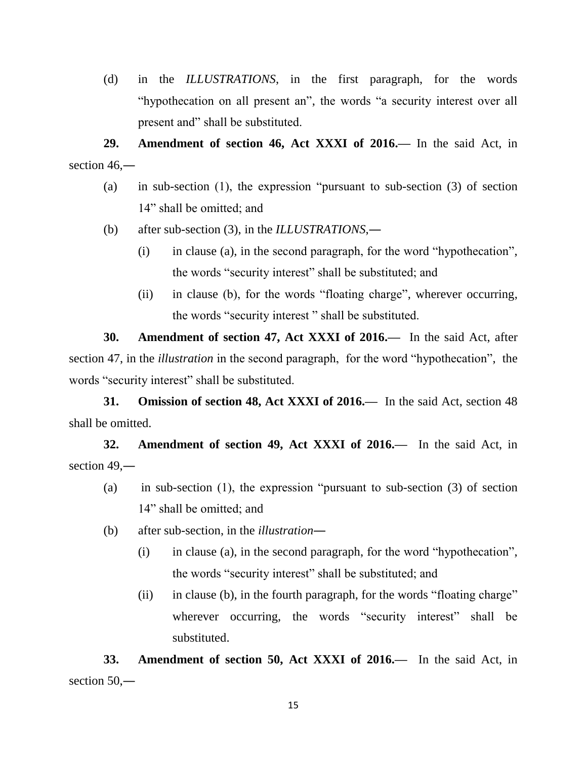(d) in the *ILLUSTRATIONS*, in the first paragraph, for the words "hypothecation on all present an", the words "a security interest over all present and" shall be substituted.

**29. Amendment of section 46, Act XXXI of 2016.—** In the said Act, in section  $46$ .

- (a) in sub-section (1), the expression "pursuant to sub-section (3) of section 14" shall be omitted; and
- (b) after sub-section (3), in the *ILLUSTRATIONS*,―
	- (i) in clause (a), in the second paragraph, for the word "hypothecation", the words "security interest" shall be substituted; and
	- (ii) in clause (b), for the words "floating charge", wherever occurring, the words "security interest " shall be substituted.

**30. Amendment of section 47, Act XXXI of 2016.—** In the said Act, after section 47, in the *illustration* in the second paragraph, for the word "hypothecation", the words "security interest" shall be substituted.

**31. Omission of section 48, Act XXXI of 2016.—** In the said Act, section 48 shall be omitted.

**32. Amendment of section 49, Act XXXI of 2016.—** In the said Act, in section 49,—

- (a) in sub-section (1), the expression "pursuant to sub-section (3) of section 14" shall be omitted; and
- (b) after sub-section, in the *illustration*―
	- (i) in clause (a), in the second paragraph, for the word "hypothecation", the words "security interest" shall be substituted; and
	- (ii) in clause (b), in the fourth paragraph, for the words "floating charge" wherever occurring, the words "security interest" shall be substituted.

**33. Amendment of section 50, Act XXXI of 2016.—** In the said Act, in section 50,—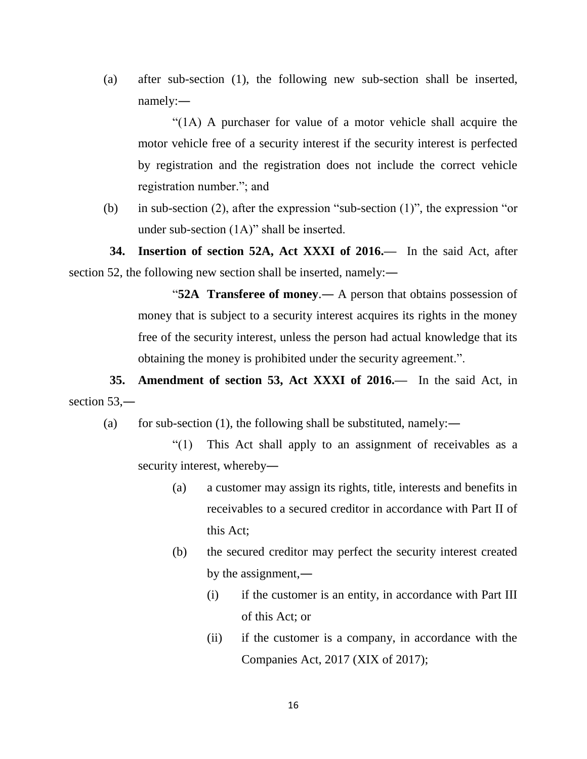(a) after sub-section (1), the following new sub-section shall be inserted, namely:―

"(1A) A purchaser for value of a motor vehicle shall acquire the motor vehicle free of a security interest if the security interest is perfected by registration and the registration does not include the correct vehicle registration number."; and

(b) in sub-section (2), after the expression "sub-section (1)", the expression "or under sub-section (1A)" shall be inserted.

 **34. Insertion of section 52A, Act XXXI of 2016.—** In the said Act, after section 52, the following new section shall be inserted, namely:—

> "**52A Transferee of money**.― A person that obtains possession of money that is subject to a security interest acquires its rights in the money free of the security interest, unless the person had actual knowledge that its obtaining the money is prohibited under the security agreement.".

 **35. Amendment of section 53, Act XXXI of 2016.—** In the said Act, in section 53.—

(a) for sub-section (1), the following shall be substituted, namely:—

"(1) This Act shall apply to an assignment of receivables as a security interest, whereby―

- (a) a customer may assign its rights, title, interests and benefits in receivables to a secured creditor in accordance with Part II of this Act;
- (b) the secured creditor may perfect the security interest created by the assignment,―
	- (i) if the customer is an entity, in accordance with Part III of this Act; or
	- (ii) if the customer is a company, in accordance with the Companies Act, 2017 (XIX of 2017);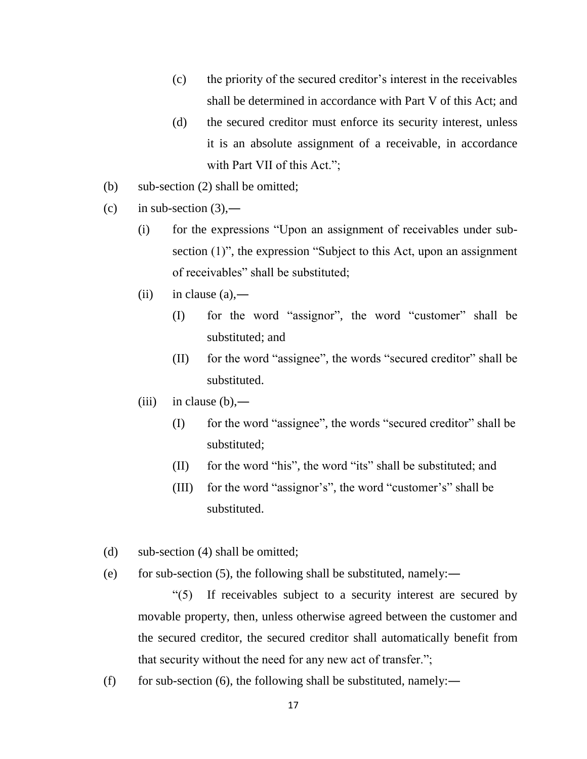- (c) the priority of the secured creditor's interest in the receivables shall be determined in accordance with Part V of this Act; and
- (d) the secured creditor must enforce its security interest, unless it is an absolute assignment of a receivable, in accordance with Part VII of this Act.";
- (b) sub-section (2) shall be omitted;
- (c) in sub-section  $(3)$ ,—
	- (i) for the expressions "Upon an assignment of receivables under subsection (1)", the expression "Subject to this Act, upon an assignment of receivables" shall be substituted;
	- (ii) in clause  $(a)$ ,—
		- (I) for the word "assignor", the word "customer" shall be substituted; and
		- (II) for the word "assignee", the words "secured creditor" shall be substituted.
	- $(iii)$  in clause  $(b)$ ,—
		- (I) for the word "assignee", the words "secured creditor" shall be substituted;
		- (II) for the word "his", the word "its" shall be substituted; and
		- (III) for the word "assignor's", the word "customer's" shall be substituted.
- (d) sub-section (4) shall be omitted;
- (e) for sub-section (5), the following shall be substituted, namely:—

"(5) If receivables subject to a security interest are secured by movable property, then, unless otherwise agreed between the customer and the secured creditor, the secured creditor shall automatically benefit from that security without the need for any new act of transfer.";

(f) for sub-section (6), the following shall be substituted, namely:—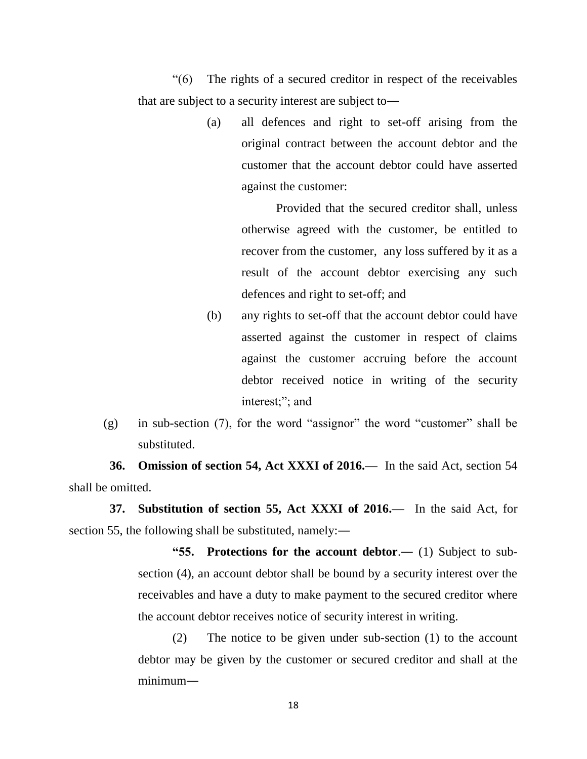"(6) The rights of a secured creditor in respect of the receivables that are subject to a security interest are subject to―

> (a) all defences and right to set-off arising from the original contract between the account debtor and the customer that the account debtor could have asserted against the customer:

> > Provided that the secured creditor shall, unless otherwise agreed with the customer, be entitled to recover from the customer, any loss suffered by it as a result of the account debtor exercising any such defences and right to set-off; and

- (b) any rights to set-off that the account debtor could have asserted against the customer in respect of claims against the customer accruing before the account debtor received notice in writing of the security interest;"; and
- (g) in sub-section (7), for the word "assignor" the word "customer" shall be substituted.

 **36. Omission of section 54, Act XXXI of 2016.—** In the said Act, section 54 shall be omitted.

 **37. Substitution of section 55, Act XXXI of 2016.—** In the said Act, for section 55, the following shall be substituted, namely:―

> **"55. Protections for the account debtor**.― (1) Subject to subsection (4), an account debtor shall be bound by a security interest over the receivables and have a duty to make payment to the secured creditor where the account debtor receives notice of security interest in writing.

> (2) The notice to be given under sub-section (1) to the account debtor may be given by the customer or secured creditor and shall at the minimum―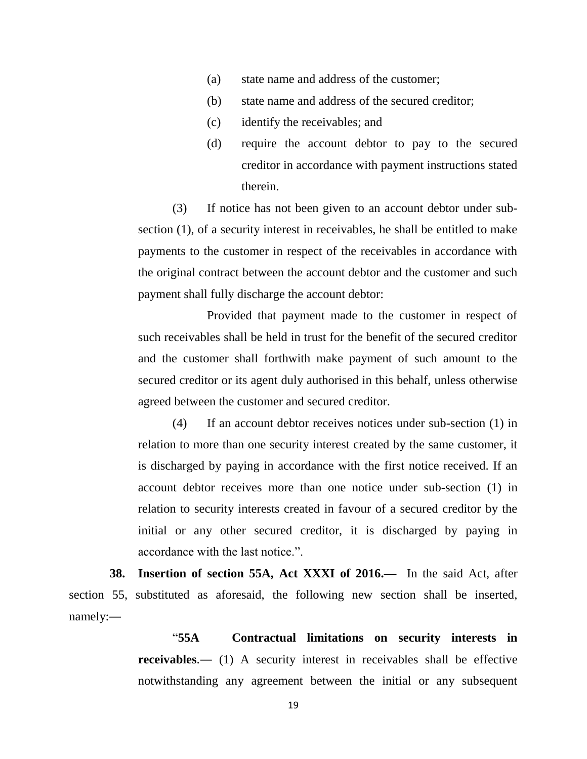- (a) state name and address of the customer;
- (b) state name and address of the secured creditor;
- (c) identify the receivables; and
- (d) require the account debtor to pay to the secured creditor in accordance with payment instructions stated therein.

(3) If notice has not been given to an account debtor under subsection (1), of a security interest in receivables, he shall be entitled to make payments to the customer in respect of the receivables in accordance with the original contract between the account debtor and the customer and such payment shall fully discharge the account debtor:

Provided that payment made to the customer in respect of such receivables shall be held in trust for the benefit of the secured creditor and the customer shall forthwith make payment of such amount to the secured creditor or its agent duly authorised in this behalf, unless otherwise agreed between the customer and secured creditor.

(4) If an account debtor receives notices under sub-section (1) in relation to more than one security interest created by the same customer, it is discharged by paying in accordance with the first notice received. If an account debtor receives more than one notice under sub-section (1) in relation to security interests created in favour of a secured creditor by the initial or any other secured creditor, it is discharged by paying in accordance with the last notice.".

 **38. Insertion of section 55A, Act XXXI of 2016.—** In the said Act, after section 55, substituted as aforesaid, the following new section shall be inserted, namely:―

> "**55A Contractual limitations on security interests in receivables.**— (1) A security interest in receivables shall be effective notwithstanding any agreement between the initial or any subsequent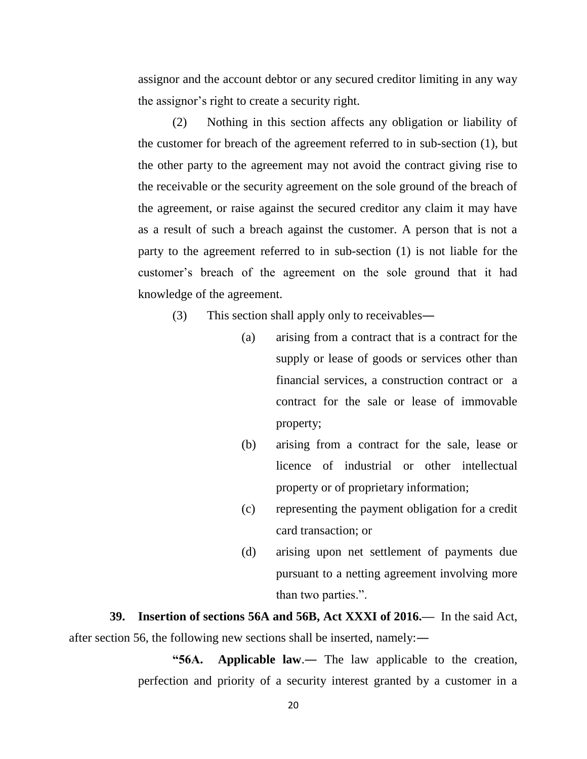assignor and the account debtor or any secured creditor limiting in any way the assignor's right to create a security right.

(2) Nothing in this section affects any obligation or liability of the customer for breach of the agreement referred to in sub-section (1), but the other party to the agreement may not avoid the contract giving rise to the receivable or the security agreement on the sole ground of the breach of the agreement, or raise against the secured creditor any claim it may have as a result of such a breach against the customer. A person that is not a party to the agreement referred to in sub-section (1) is not liable for the customer's breach of the agreement on the sole ground that it had knowledge of the agreement.

(3) This section shall apply only to receivables―

- (a) arising from a contract that is a contract for the supply or lease of goods or services other than financial services, a construction contract or a contract for the sale or lease of immovable property;
- (b) arising from a contract for the sale, lease or licence of industrial or other intellectual property or of proprietary information;
- (c) representing the payment obligation for a credit card transaction; or
- (d) arising upon net settlement of payments due pursuant to a netting agreement involving more than two parties.".

 **39. Insertion of sections 56A and 56B, Act XXXI of 2016.—** In the said Act, after section 56, the following new sections shall be inserted, namely:―

> **"56A. Applicable law**.― The law applicable to the creation, perfection and priority of a security interest granted by a customer in a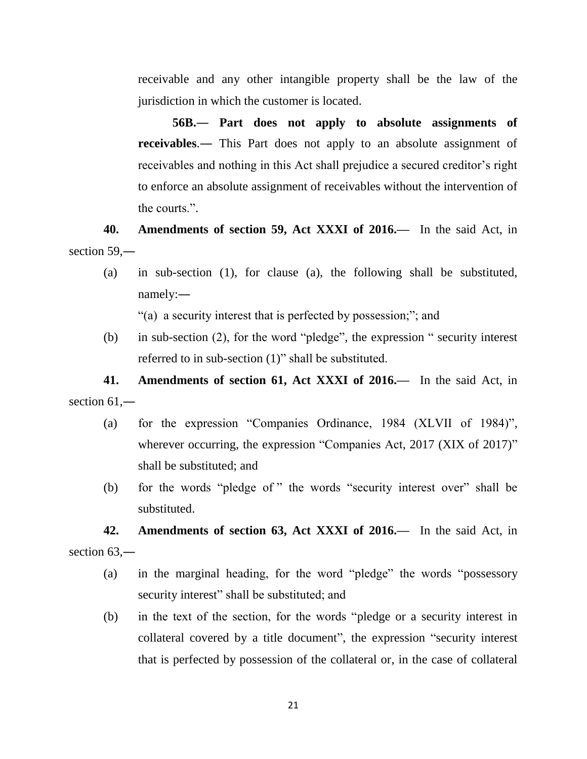receivable and any other intangible property shall be the law of the jurisdiction in which the customer is located.

**56B.― Part does not apply to absolute assignments of receivables**.― This Part does not apply to an absolute assignment of receivables and nothing in this Act shall prejudice a secured creditor's right to enforce an absolute assignment of receivables without the intervention of the courts.".

**40. Amendments of section 59, Act XXXI of 2016.—** In the said Act, in section 59,—

(a) in sub-section (1), for clause (a), the following shall be substituted, namely:―

"(a) a security interest that is perfected by possession;"; and

(b) in sub-section (2), for the word "pledge", the expression " security interest referred to in sub-section (1)" shall be substituted.

**41. Amendments of section 61, Act XXXI of 2016.—** In the said Act, in section 61.—

- (a) for the expression "Companies Ordinance, 1984 (XLVII of 1984)", wherever occurring, the expression "Companies Act, 2017 (XIX of 2017)" shall be substituted; and
- (b) for the words "pledge of " the words "security interest over" shall be substituted.

**42. Amendments of section 63, Act XXXI of 2016.—** In the said Act, in section 63,—

- (a) in the marginal heading, for the word "pledge" the words "possessory security interest" shall be substituted; and
- (b) in the text of the section, for the words "pledge or a security interest in collateral covered by a title document", the expression "security interest that is perfected by possession of the collateral or, in the case of collateral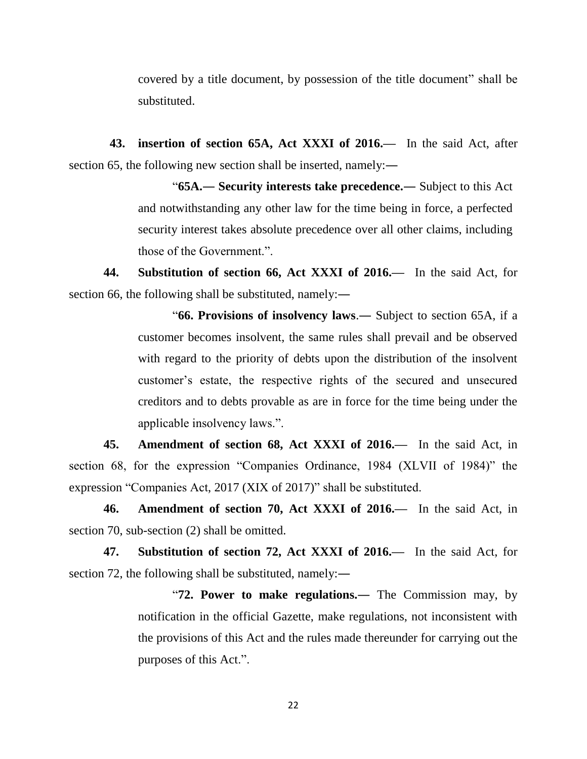covered by a title document, by possession of the title document" shall be substituted.

 **43. insertion of section 65A, Act XXXI of 2016.—** In the said Act, after section 65, the following new section shall be inserted, namely:—

> "**65A.― Security interests take precedence.―** Subject to this Act and notwithstanding any other law for the time being in force, a perfected security interest takes absolute precedence over all other claims, including those of the Government.".

**44. Substitution of section 66, Act XXXI of 2016.—** In the said Act, for section 66, the following shall be substituted, namely:—

> "**66. Provisions of insolvency laws**.― Subject to section 65A, if a customer becomes insolvent, the same rules shall prevail and be observed with regard to the priority of debts upon the distribution of the insolvent customer's estate, the respective rights of the secured and unsecured creditors and to debts provable as are in force for the time being under the applicable insolvency laws.".

**45. Amendment of section 68, Act XXXI of 2016.—** In the said Act, in section 68, for the expression "Companies Ordinance, 1984 (XLVII of 1984)" the expression "Companies Act, 2017 (XIX of 2017)" shall be substituted.

**46. Amendment of section 70, Act XXXI of 2016.—** In the said Act, in section 70, sub-section (2) shall be omitted.

**47. Substitution of section 72, Act XXXI of 2016.—** In the said Act, for section 72, the following shall be substituted, namely:—

> "**72. Power to make regulations.―** The Commission may, by notification in the official Gazette, make regulations, not inconsistent with the provisions of this Act and the rules made thereunder for carrying out the purposes of this Act.".

> > 22